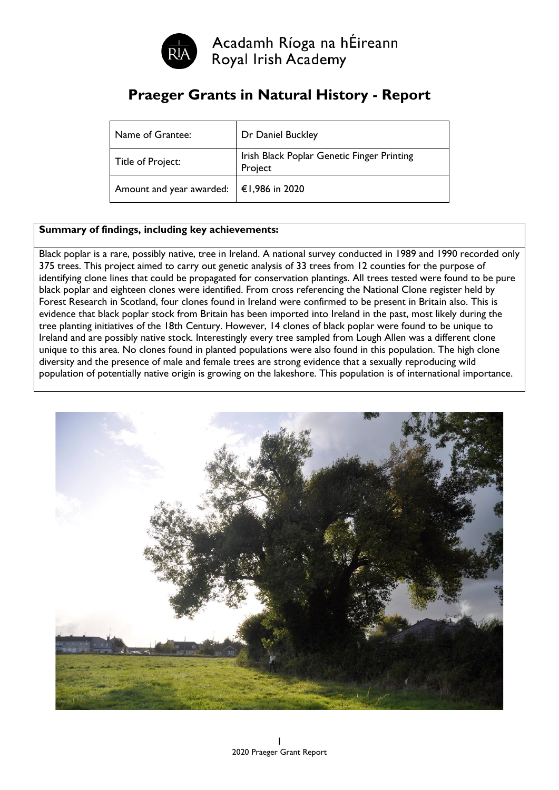

## **Praeger Grants in Natural History - Report**

| Name of Grantee:                                | Dr Daniel Buckley                                     |
|-------------------------------------------------|-------------------------------------------------------|
| Title of Project:                               | Irish Black Poplar Genetic Finger Printing<br>Project |
| Amount and year awarded: $\vert 61,986$ in 2020 |                                                       |

### **Summary of findings, including key achievements:**

Black poplar is a rare, possibly native, tree in Ireland. A national survey conducted in 1989 and 1990 recorded only 375 trees. This project aimed to carry out genetic analysis of 33 trees from 12 counties for the purpose of identifying clone lines that could be propagated for conservation plantings. All trees tested were found to be pure black poplar and eighteen clones were identified. From cross referencing the National Clone register held by Forest Research in Scotland, four clones found in Ireland were confirmed to be present in Britain also. This is evidence that black poplar stock from Britain has been imported into Ireland in the past, most likely during the tree planting initiatives of the 18th Century. However, 14 clones of black poplar were found to be unique to Ireland and are possibly native stock. Interestingly every tree sampled from Lough Allen was a different clone unique to this area. No clones found in planted populations were also found in this population. The high clone diversity and the presence of male and female trees are strong evidence that a sexually reproducing wild population of potentially native origin is growing on the lakeshore. This population is of international importance.